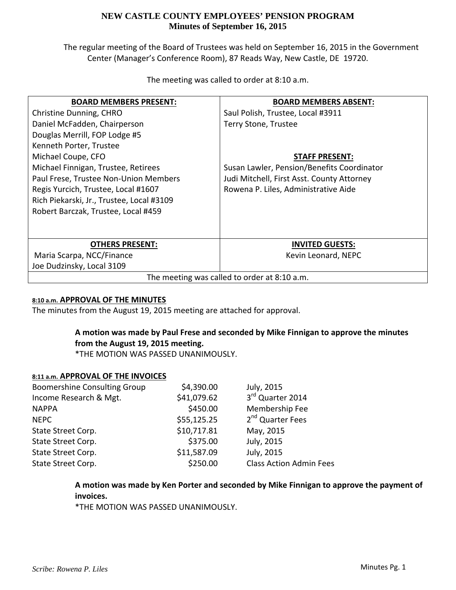The regular meeting of the Board of Trustees was held on September 16, 2015 in the Government Center (Manager's Conference Room), 87 Reads Way, New Castle, DE 19720.

| <b>BOARD MEMBERS PRESENT:</b>                | <b>BOARD MEMBERS ABSENT:</b>               |  |
|----------------------------------------------|--------------------------------------------|--|
| Christine Dunning, CHRO                      | Saul Polish, Trustee, Local #3911          |  |
| Daniel McFadden, Chairperson                 | Terry Stone, Trustee                       |  |
| Douglas Merrill, FOP Lodge #5                |                                            |  |
| Kenneth Porter, Trustee                      |                                            |  |
| Michael Coupe, CFO                           | STAFF PRESENT:                             |  |
| Michael Finnigan, Trustee, Retirees          | Susan Lawler, Pension/Benefits Coordinator |  |
| Paul Frese, Trustee Non-Union Members        | Judi Mitchell, First Asst. County Attorney |  |
| Regis Yurcich, Trustee, Local #1607          | Rowena P. Liles, Administrative Aide       |  |
| Rich Piekarski, Jr., Trustee, Local #3109    |                                            |  |
| Robert Barczak, Trustee, Local #459          |                                            |  |
|                                              |                                            |  |
|                                              |                                            |  |
| <b>OTHERS PRESENT:</b>                       | <b>INVITED GUESTS:</b>                     |  |
| Maria Scarpa, NCC/Finance                    | Kevin Leonard, NEPC                        |  |
| Joe Dudzinsky, Local 3109                    |                                            |  |
| The meeting was called to order at 8:10 a.m. |                                            |  |

The meeting was called to order at 8:10 a.m.

### **8:10 a.m. APPROVAL OF THE MINUTES**

The minutes from the August 19, 2015 meeting are attached for approval.

# **A motion was made by Paul Frese and seconded by Mike Finnigan to approve the minutes from the August 19, 2015 meeting.**

\*THE MOTION WAS PASSED UNANIMOUSLY.

#### **8:11 a.m. APPROVAL OF THE INVOICES**

| <b>Boomershine Consulting Group</b> | \$4,390.00  | July, 2015                     |
|-------------------------------------|-------------|--------------------------------|
| Income Research & Mgt.              | \$41,079.62 | 3rd Quarter 2014               |
| <b>NAPPA</b>                        | \$450.00    | Membership Fee                 |
| <b>NEPC</b>                         | \$55,125.25 | 2 <sup>nd</sup> Quarter Fees   |
| State Street Corp.                  | \$10,717.81 | May, 2015                      |
| State Street Corp.                  | \$375.00    | July, 2015                     |
| State Street Corp.                  | \$11,587.09 | July, 2015                     |
| State Street Corp.                  | \$250.00    | <b>Class Action Admin Fees</b> |

**A motion was made by Ken Porter and seconded by Mike Finnigan to approve the payment of invoices.**

\*THE MOTION WAS PASSED UNANIMOUSLY.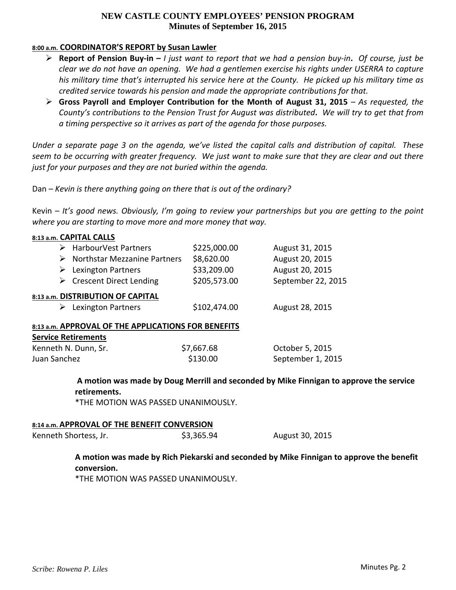#### **8:00 a.m. COORDINATOR'S REPORT by Susan Lawler**

- $\triangleright$  Report of Pension Buy-in I just want to report that we had a pension buy-in. Of course, just be clear we do not have an opening. We had a gentlemen exercise his rights under USERRA to capture his military time that's interrupted his service here at the County. He picked up his military time as *credited service towards his pension and made the appropriate contributions for that.*
- **Gross Payroll and Employer Contribution for the Month of August 31, 2015** *– As requested, the* County's contributions to the Pension Trust for August was distributed. We will try to get that from *a timing perspective so it arrives as part of the agenda for those purposes.*

Under a separate page 3 on the agenda, we've listed the capital calls and distribution of capital. These seem to be occurring with greater frequency. We just want to make sure that they are clear and out there *just for your purposes and they are not buried within the agenda.*

Dan – *Kevin is there anything going on there that is out of the ordinary?*

Kevin – *It's good news. Obviously, I'm going to review your partnerships but you are getting to the point where you are starting to move more and more money that way.*

| 8:13 a.m. CAPITAL CALLS                             |              |                                                                                          |  |
|-----------------------------------------------------|--------------|------------------------------------------------------------------------------------------|--|
| $\triangleright$ HarbourVest Partners               | \$225,000.00 | August 31, 2015                                                                          |  |
| $\triangleright$ Northstar Mezzanine Partners       | \$8,620.00   | August 20, 2015                                                                          |  |
| Lexington Partners<br>➤                             | \$33,209.00  | August 20, 2015                                                                          |  |
| $\triangleright$ Crescent Direct Lending            | \$205,573.00 | September 22, 2015                                                                       |  |
| 8:13 a.m. DISTRIBUTION OF CAPITAL                   |              |                                                                                          |  |
| $\triangleright$ Lexington Partners                 | \$102,474.00 | August 28, 2015                                                                          |  |
| 8:13 a.m. APPROVAL OF THE APPLICATIONS FOR BENEFITS |              |                                                                                          |  |
| <b>Service Retirements</b>                          |              |                                                                                          |  |
| Kenneth N. Dunn, Sr.                                | \$7,667.68   | October 5, 2015                                                                          |  |
| Juan Sanchez                                        | \$130.00     | September 1, 2015                                                                        |  |
| retirements.                                        |              | A motion was made by Doug Merrill and seconded by Mike Finnigan to approve the service   |  |
| *THE MOTION WAS PASSED UNANIMOUSLY.                 |              |                                                                                          |  |
| 8:14 a.m. APPROVAL OF THE BENEFIT CONVERSION        |              |                                                                                          |  |
| Kenneth Shortess, Jr.                               | \$3,365.94   | August 30, 2015                                                                          |  |
| conversion.                                         |              | A motion was made by Rich Piekarski and seconded by Mike Finnigan to approve the benefit |  |

\*THE MOTION WAS PASSED UNANIMOUSLY.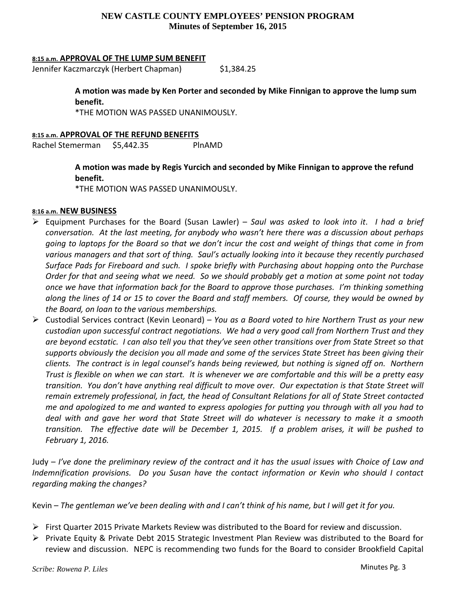#### **8:15 a.m. APPROVAL OF THE LUMP SUM BENEFIT**

Jennifer Kaczmarczyk (Herbert Chapman) \$1,384.25

**A motion was made by Ken Porter and seconded by Mike Finnigan to approve the lump sum benefit.**

\*THE MOTION WAS PASSED UNANIMOUSLY.

#### **8:15 a.m. APPROVAL OF THE REFUND BENEFITS**

Rachel Stemerman \$5,442.35 PlnAMD

**A motion was made by Regis Yurcich and seconded by Mike Finnigan to approve the refund benefit.**

\*THE MOTION WAS PASSED UNANIMOUSLY.

#### **8:16 a.m. NEW BUSINESS**

- Equipment Purchases for the Board (Susan Lawler) *Saul was asked to look into it*. *I had a brief conversation. At the last meeting, for anybody who wasn't here there was a discussion about perhaps* going to laptops for the Board so that we don't incur the cost and weight of things that come in from *various managers and that sort of thing. Saul's actually looking into it because they recently purchased Surface Pads for Fireboard and such. I spoke briefly with Purchasing about hopping onto the Purchase* Order for that and seeing what we need. So we should probably get a motion at some point not today *once we have that information back for the Board to approve those purchases. I'm thinking something* along the lines of 14 or 15 to cover the Board and staff members. Of course, they would be owned by *the Board, on loan to the various memberships.*
- Custodial Services contract (Kevin Leonard) *You as a Board voted to hire Northern Trust as your new custodian upon successful contract negotiations. We had a very good call from Northern Trust and they* are beyond ecstatic. I can also tell you that they've seen other transitions over from State Street so that supports obviously the decision you all made and some of the services State Street has been giving their clients. The contract is in legal counsel's hands being reviewed, but nothing is signed off on. Northern Trust is flexible on when we can start. It is whenever we are comfortable and this will be a pretty easy transition. You don't have anything real difficult to move over. Our expectation is that State Street will *remain extremely professional, in fact, the head of Consultant Relations for all of State Street contacted* me and apologized to me and wanted to express apologies for putting you through with all you had to deal with and gave her word that State Street will do whatever is necessary to make it a smooth transition. The effective date will be December 1, 2015. If a problem arises, it will be pushed to *February 1, 2016.*

Judy – I've done the preliminary review of the contract and it has the usual issues with Choice of Law and *Indemnification provisions. Do you Susan have the contact information or Kevin who should I contact regarding making the changes?*

Kevin – The gentleman we've been dealing with and I can't think of his name, but I will get it for you.

- $\triangleright$  First Quarter 2015 Private Markets Review was distributed to the Board for review and discussion.
- $\triangleright$  Private Equity & Private Debt 2015 Strategic Investment Plan Review was distributed to the Board for review and discussion. NEPC is recommending two funds for the Board to consider Brookfield Capital